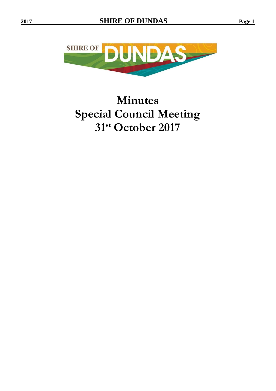

# **Minutes Special Council Meeting 31 st October 2017**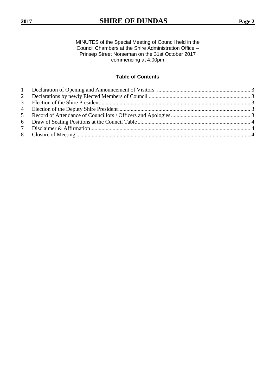MINUTES of the Special Meeting of Council held in the Council Chambers at the Shire Administration Office – Prinsep Street Norseman on the 31st October 2017 commencing at 4.00pm

# **Table of Contents**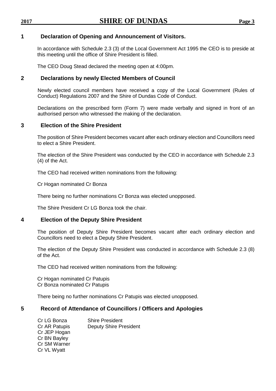## <span id="page-2-0"></span>**1 Declaration of Opening and Announcement of Visitors.**

In accordance with Schedule 2.3 (3) of the Local Government Act 1995 the CEO is to preside at this meeting until the office of Shire President is filled.

The CEO Doug Stead declared the meeting open at 4:00pm.

#### <span id="page-2-1"></span>**2 Declarations by newly Elected Members of Council**

Newly elected council members have received a copy of the Local Government (Rules of Conduct) Regulations 2007 and the Shire of Dundas Code of Conduct.

Declarations on the prescribed form (Form 7) were made verbally and signed in front of an authorised person who witnessed the making of the declaration.

# <span id="page-2-2"></span>**3 Election of the Shire President**

The position of Shire President becomes vacant after each ordinary election and Councillors need to elect a Shire President.

The election of the Shire President was conducted by the CEO in accordance with Schedule 2.3 (4) of the Act.

The CEO had received written nominations from the following:

Cr Hogan nominated Cr Bonza

There being no further nominations Cr Bonza was elected unopposed.

The Shire President Cr LG Bonza took the chair.

#### <span id="page-2-3"></span>**4 Election of the Deputy Shire President**

The position of Deputy Shire President becomes vacant after each ordinary election and Councillors need to elect a Deputy Shire President.

The election of the Deputy Shire President was conducted in accordance with Schedule 2.3 (8) of the Act.

The CEO had received written nominations from the following:

Cr Hogan nominated Cr Patupis Cr Bonza nominated Cr Patupis

There being no further nominations Cr Patupis was elected unopposed.

#### <span id="page-2-4"></span>**5 Record of Attendance of Councillors / Officers and Apologies**

| Cr LG Bonza   | <b>Shire President</b>        |
|---------------|-------------------------------|
| Cr AR Patupis | <b>Deputy Shire President</b> |
| Cr JEP Hogan  |                               |
| Cr BN Bayley  |                               |
| Cr SM Warner  |                               |
| Cr VL Wyatt   |                               |